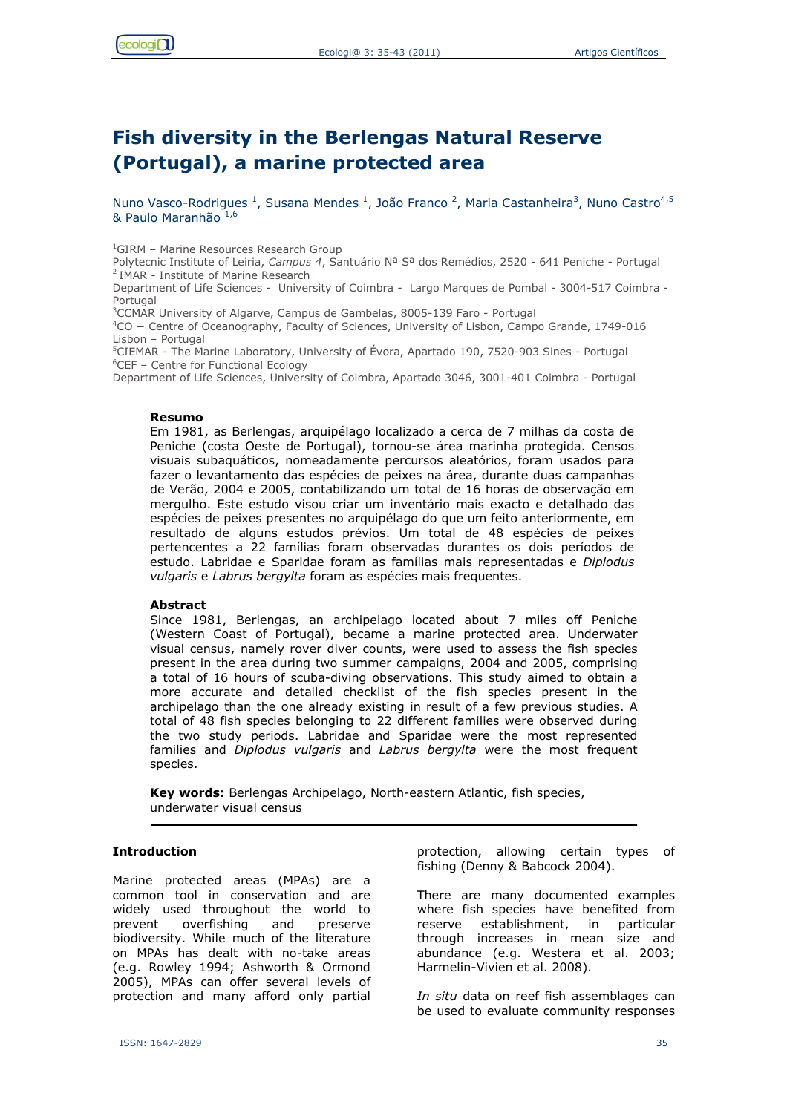# **Fish diversity in the Berlengas Natural Reserve (Portugal), a marine protected area**

Nuno Vasco-Rodrigues<sup>1</sup>, Susana Mendes<sup>1</sup>, João Franco<sup>2</sup>, Maria Castanheira<sup>3</sup>, Nuno Castro<sup>4,5</sup> & Paulo Maranhão 1,6

<sup>1</sup>GIRM - Marine Resources Research Group

Polytecnic Institute of Leiria, *Campus 4*, Santuário Nª Sª dos Remédios, 2520 - 641 Peniche - Portugal <sup>2</sup> IMAR - Institute of Marine Research

Department of Life Sciences - University of Coimbra - Largo Marques de Pombal - 3004-517 Coimbra - Portugal

<sup>3</sup>CCMAR University of Algarve, Campus de Gambelas, 8005-139 Faro - Portugal

<sup>4</sup>CO − Centre of Oceanography, Faculty of Sciences, University of Lisbon, Campo Grande, 1749-016 Lisbon – Portugal

<sup>5</sup>CIEMAR - The Marine Laboratory, University of Évora, Apartado 190, 7520-903 Sines - Portugal <sup>6</sup>CEF – Centre for Functional Ecology

Department of Life Sciences, University of Coimbra, Apartado 3046, 3001-401 Coimbra - Portugal

#### **Resumo**

Em 1981, as Berlengas, arquipélago localizado a cerca de 7 milhas da costa de Peniche (costa Oeste de Portugal), tornou-se área marinha protegida. Censos visuais subaquáticos, nomeadamente percursos aleatórios, foram usados para fazer o levantamento das espécies de peixes na área, durante duas campanhas de Verão, 2004 e 2005, contabilizando um total de 16 horas de observação em mergulho. Este estudo visou criar um inventário mais exacto e detalhado das espécies de peixes presentes no arquipélago do que um feito anteriormente, em resultado de alguns estudos prévios. Um total de 48 espécies de peixes pertencentes a 22 famílias foram observadas durantes os dois períodos de estudo. Labridae e Sparidae foram as famílias mais representadas e *Diplodus vulgaris* e *Labrus bergylta* foram as espécies mais frequentes.

#### **Abstract**

Since 1981, Berlengas, an archipelago located about 7 miles off Peniche (Western Coast of Portugal), became a marine protected area. Underwater visual census, namely rover diver counts, were used to assess the fish species present in the area during two summer campaigns, 2004 and 2005, comprising a total of 16 hours of scuba-diving observations. This study aimed to obtain a more accurate and detailed checklist of the fish species present in the archipelago than the one already existing in result of a few previous studies. A total of 48 fish species belonging to 22 different families were observed during the two study periods. Labridae and Sparidae were the most represented families and *Diplodus vulgaris* and *Labrus bergylta* were the most frequent species.

**Key words:** Berlengas Archipelago, North-eastern Atlantic, fish species, underwater visual census

#### **Introduction**

Marine protected areas (MPAs) are a common tool in conservation and are widely used throughout the world to prevent overfishing and preserve biodiversity. While much of the literature on MPAs has dealt with no-take areas (e.g. Rowley 1994; Ashworth & Ormond 2005), MPAs can offer several levels of protection and many afford only partial protection, allowing certain types of fishing (Denny & Babcock 2004).

There are many documented examples where fish species have benefited from reserve establishment, in particular through increases in mean size and abundance (e.g. Westera et al. 2003; Harmelin-Vivien et al. 2008).

*In situ* data on reef fish assemblages can be used to evaluate community responses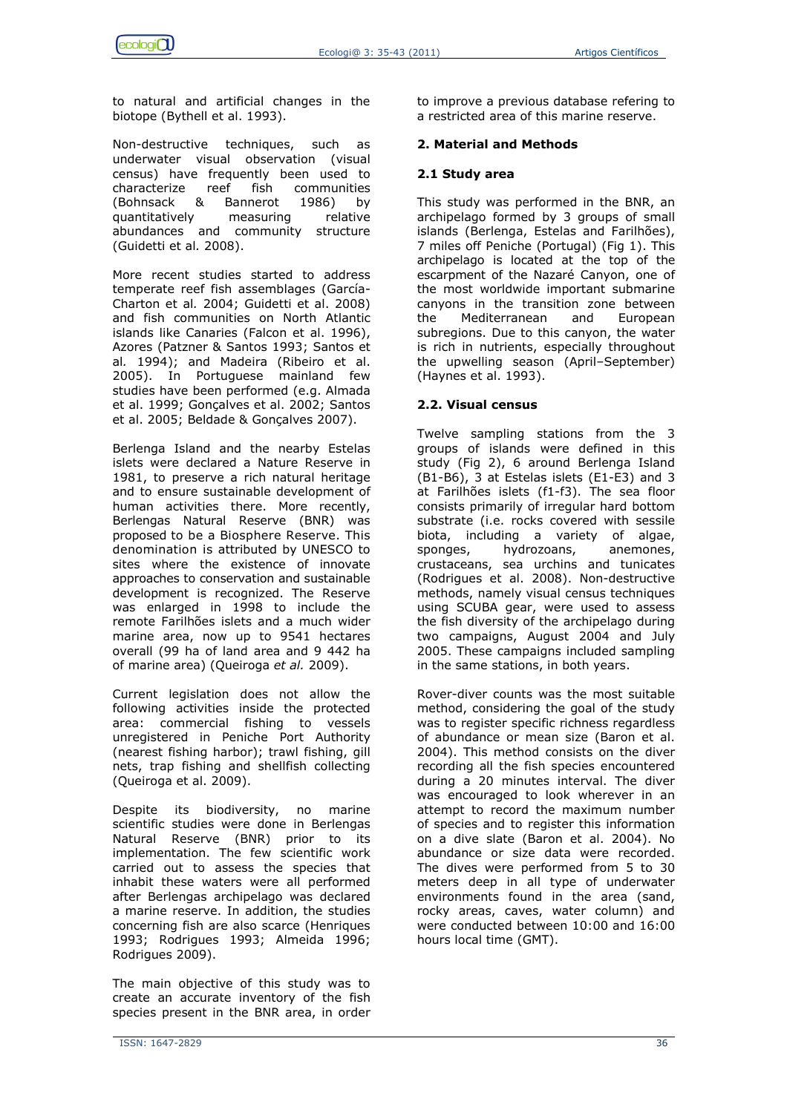to natural and artificial changes in the biotope (Bythell et al. 1993).

Non-destructive techniques, such as underwater visual observation (visual census) have frequently been used to characterize reef fish communities (Bohnsack & Bannerot 1986) by quantitatively measuring relative abundances and community structure (Guidetti et al*.* 2008).

More recent studies started to address temperate reef fish assemblages (García-Charton et al*.* 2004; Guidetti et al. 2008) and fish communities on North Atlantic islands like Canaries (Falcon et al. 1996), Azores (Patzner & Santos 1993; Santos et al*.* 1994); and Madeira (Ribeiro et al. 2005). In Portuguese mainland few studies have been performed (e.g. Almada et al. 1999; Gonçalves et al. 2002; Santos et al. 2005; Beldade & Gonçalves 2007).

Berlenga Island and the nearby Estelas islets were declared a Nature Reserve in 1981, to preserve a rich natural heritage and to ensure sustainable development of human activities there. More recently, Berlengas Natural Reserve (BNR) was proposed to be a Biosphere Reserve. This denomination is attributed by UNESCO to sites where the existence of innovate approaches to conservation and sustainable development is recognized. The Reserve was enlarged in 1998 to include the remote Farilhões islets and a much wider marine area, now up to 9541 hectares overall (99 ha of land area and 9 442 ha of marine area) (Queiroga *et al.* 2009).

Current legislation does not allow the following activities inside the protected area: commercial fishing to vessels unregistered in Peniche Port Authority (nearest fishing harbor); trawl fishing, gill nets, trap fishing and shellfish collecting (Queiroga et al. 2009).

Despite its biodiversity, no marine scientific studies were done in Berlengas Natural Reserve (BNR) prior to its implementation. The few scientific work carried out to assess the species that inhabit these waters were all performed after Berlengas archipelago was declared a marine reserve. In addition, the studies concerning fish are also scarce (Henriques 1993; Rodrigues 1993; Almeida 1996; Rodrigues 2009).

The main objective of this study was to create an accurate inventory of the fish species present in the BNR area, in order to improve a previous database refering to a restricted area of this marine reserve.

# **2. Material and Methods**

# **2.1 Study area**

This study was performed in the BNR, an archipelago formed by 3 groups of small islands (Berlenga, Estelas and Farilhões), 7 miles off Peniche (Portugal) (Fig 1). This archipelago is located at the top of the escarpment of the Nazaré Canyon, one of the most worldwide important submarine canyons in the transition zone between the Mediterranean and European subregions. Due to this canyon, the water is rich in nutrients, especially throughout the upwelling season (April–September) (Haynes et al. 1993).

# **2.2. Visual census**

Twelve sampling stations from the 3 groups of islands were defined in this study (Fig 2), 6 around Berlenga Island (B1-B6), 3 at Estelas islets (E1-E3) and 3 at Farilhões islets (f1-f3). The sea floor consists primarily of irregular hard bottom substrate (i.e. rocks covered with sessile biota, including a variety of algae, sponges, hydrozoans, anemones, crustaceans, sea urchins and tunicates (Rodrigues et al. 2008). Non-destructive methods, namely visual census techniques using SCUBA gear, were used to assess the fish diversity of the archipelago during two campaigns, August 2004 and July 2005. These campaigns included sampling in the same stations, in both years.

Rover-diver counts was the most suitable method, considering the goal of the study was to register specific richness regardless of abundance or mean size (Baron et al. 2004). This method consists on the diver recording all the fish species encountered during a 20 minutes interval. The diver was encouraged to look wherever in an attempt to record the maximum number of species and to register this information on a dive slate (Baron et al. 2004). No abundance or size data were recorded. The dives were performed from 5 to 30 meters deep in all type of underwater environments found in the area (sand, rocky areas, caves, water column) and were conducted between 10:00 and 16:00 hours local time (GMT).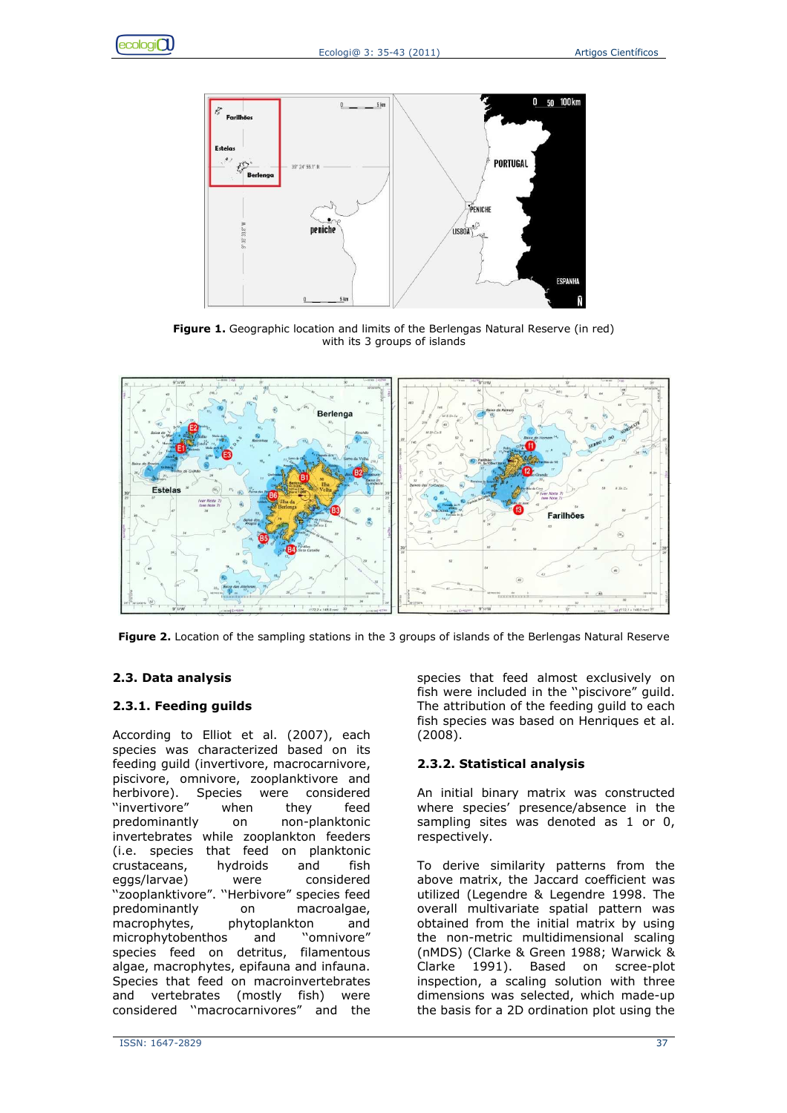



**Figure 1.** Geographic location and limits of the Berlengas Natural Reserve (in red) with its 3 groups of islands



**Figure 2.** Location of the sampling stations in the 3 groups of islands of the Berlengas Natural Reserve

# **2.3. Data analysis**

# **2.3.1. Feeding guilds**

According to Elliot et al. (2007), each species was characterized based on its feeding guild (invertivore, macrocarnivore, piscivore, omnivore, zooplanktivore and herbivore). Species were considered ''invertivore" when they feed predominantly on non-planktonic invertebrates while zooplankton feeders (i.e. species that feed on planktonic crustaceans, hydroids and fish eggs/larvae) were considered ''zooplanktivore". ''Herbivore" species feed predominantly on macroalgae, macrophytes, phytoplankton and microphytobenthos and ''omnivore" species feed on detritus, filamentous algae, macrophytes, epifauna and infauna. Species that feed on macroinvertebrates and vertebrates (mostly fish) were considered ''macrocarnivores" and the

species that feed almost exclusively on fish were included in the ''piscivore" guild. The attribution of the feeding guild to each fish species was based on Henriques et al. (2008).

# **2.3.2. Statistical analysis**

An initial binary matrix was constructed where species' presence/absence in the sampling sites was denoted as 1 or 0, respectively.

To derive similarity patterns from the above matrix, the Jaccard coefficient was utilized (Legendre & Legendre 1998. The overall multivariate spatial pattern was obtained from the initial matrix by using the non-metric multidimensional scaling (nMDS) (Clarke & Green 1988; Warwick & Clarke 1991). Based on scree-plot inspection, a scaling solution with three dimensions was selected, which made-up the basis for a 2D ordination plot using the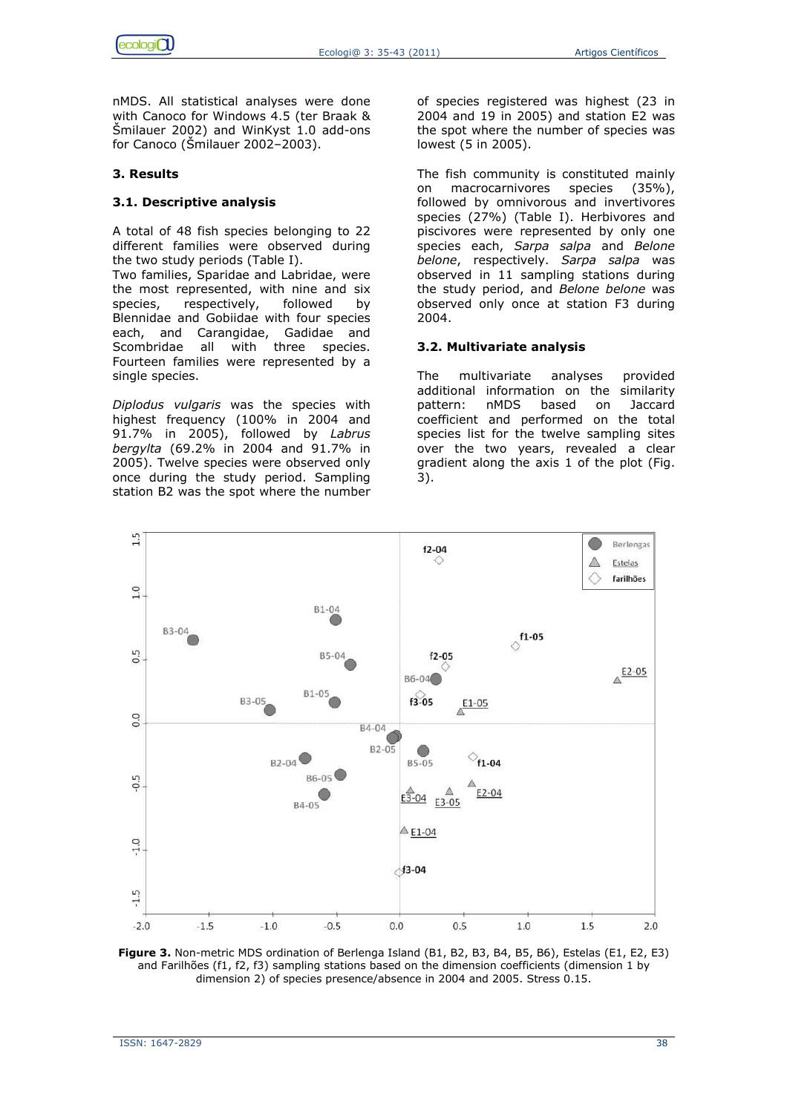nMDS. All statistical analyses were done with Canoco for Windows 4.5 (ter Braak & Šmilauer 2002) and WinKyst 1.0 add-ons for Canoco (Šmilauer 2002–2003).

## **3. Results**

## **3.1. Descriptive analysis**

A total of 48 fish species belonging to 22 different families were observed during the two study periods (Table I).

Two families, Sparidae and Labridae, were the most represented, with nine and six species, respectively, followed by Blennidae and Gobiidae with four species each, and Carangidae, Gadidae and Scombridae all with three species. Fourteen families were represented by a single species.

*Diplodus vulgaris* was the species with highest frequency (100% in 2004 and 91.7% in 2005), followed by *Labrus bergylta* (69.2% in 2004 and 91.7% in 2005). Twelve species were observed only once during the study period. Sampling station B2 was the spot where the number of species registered was highest (23 in 2004 and 19 in 2005) and station E2 was the spot where the number of species was lowest (5 in 2005).

The fish community is constituted mainly on macrocarnivores species (35%), followed by omnivorous and invertivores species (27%) (Table I). Herbivores and piscivores were represented by only one species each, *Sarpa salpa* and *Belone belone*, respectively. *Sarpa salpa* was observed in 11 sampling stations during the study period, and *Belone belone* was observed only once at station F3 during 2004.

# **3.2. Multivariate analysis**

The multivariate analyses provided additional information on the similarity pattern: nMDS based on Jaccard coefficient and performed on the total species list for the twelve sampling sites over the two years, revealed a clear gradient along the axis 1 of the plot (Fig. 3).



**Figure 3.** Non-metric MDS ordination of Berlenga Island (B1, B2, B3, B4, B5, B6), Estelas (E1, E2, E3) and Farilhões (f1, f2, f3) sampling stations based on the dimension coefficients (dimension 1 by dimension 2) of species presence/absence in 2004 and 2005. Stress 0.15.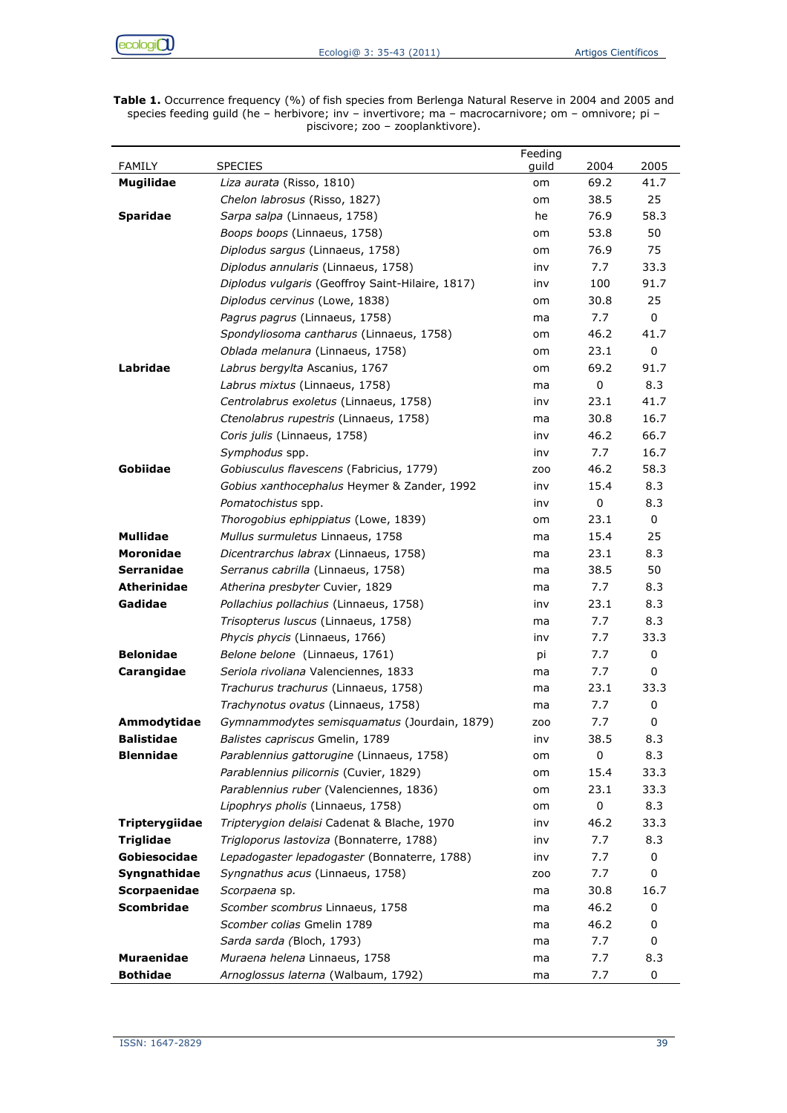$ecologi<sub>O</sub>$ 

**Table 1.** Occurrence frequency (%) of fish species from Berlenga Natural Reserve in 2004 and 2005 and species feeding guild (he – herbivore; inv – invertivore; ma – macrocarnivore; om – omnivore; pi – piscivore; zoo – zooplanktivore).

|                    |                                                  | Feeding         |      |      |
|--------------------|--------------------------------------------------|-----------------|------|------|
| <b>FAMILY</b>      | <b>SPECIES</b>                                   | guild           | 2004 | 2005 |
| <b>Mugilidae</b>   | Liza aurata (Risso, 1810)                        | om              | 69.2 | 41.7 |
|                    | Chelon labrosus (Risso, 1827)                    | om              | 38.5 | 25   |
| <b>Sparidae</b>    | Sarpa salpa (Linnaeus, 1758)                     | he              | 76.9 | 58.3 |
|                    | Boops boops (Linnaeus, 1758)                     | om              | 53.8 | 50   |
|                    | Diplodus sargus (Linnaeus, 1758)                 | om              | 76.9 | 75   |
|                    | Diplodus annularis (Linnaeus, 1758)              | inv             | 7.7  | 33.3 |
|                    | Diplodus vulgaris (Geoffroy Saint-Hilaire, 1817) | inv             | 100  | 91.7 |
|                    | Diplodus cervinus (Lowe, 1838)                   | om              | 30.8 | 25   |
|                    | Pagrus pagrus (Linnaeus, 1758)                   | ma              | 7.7  | 0    |
|                    | Spondyliosoma cantharus (Linnaeus, 1758)         | om              | 46.2 | 41.7 |
|                    | Oblada melanura (Linnaeus, 1758)                 | om              | 23.1 | 0    |
| Labridae           | Labrus bergylta Ascanius, 1767                   | om              | 69.2 | 91.7 |
|                    | Labrus mixtus (Linnaeus, 1758)                   | ma              | 0    | 8.3  |
|                    | Centrolabrus exoletus (Linnaeus, 1758)           | inv             | 23.1 | 41.7 |
|                    | Ctenolabrus rupestris (Linnaeus, 1758)           | ma              | 30.8 | 16.7 |
|                    | Coris julis (Linnaeus, 1758)                     | inv             | 46.2 | 66.7 |
|                    | Symphodus spp.                                   | inv             | 7.7  | 16.7 |
| Gobiidae           | Gobiusculus flavescens (Fabricius, 1779)         | ZOO             | 46.2 | 58.3 |
|                    | Gobius xanthocephalus Heymer & Zander, 1992      | inv             | 15.4 | 8.3  |
|                    | Pomatochistus spp.                               | inv             | 0    | 8.3  |
|                    | Thorogobius ephippiatus (Lowe, 1839)             | om              | 23.1 | 0    |
| Mullidae           | Mullus surmuletus Linnaeus, 1758                 | ma              | 15.4 | 25   |
| Moronidae          | Dicentrarchus labrax (Linnaeus, 1758)            | ma              | 23.1 | 8.3  |
| <b>Serranidae</b>  | Serranus cabrilla (Linnaeus, 1758)               | ma              | 38.5 | 50   |
| <b>Atherinidae</b> | Atherina presbyter Cuvier, 1829                  | ma              | 7.7  | 8.3  |
| Gadidae            | Pollachius pollachius (Linnaeus, 1758)           | inv             | 23.1 | 8.3  |
|                    | Trisopterus luscus (Linnaeus, 1758)              | ma              | 7.7  | 8.3  |
|                    | Phycis phycis (Linnaeus, 1766)                   | inv             | 7.7  | 33.3 |
| <b>Belonidae</b>   | Belone belone (Linnaeus, 1761)                   | рi              | 7.7  | 0    |
| Carangidae         | Seriola rivoliana Valenciennes, 1833             | ma              | 7.7  | 0    |
|                    | Trachurus trachurus (Linnaeus, 1758)             | ma              | 23.1 | 33.3 |
|                    | Trachynotus ovatus (Linnaeus, 1758)              | ma              | 7.7  | 0    |
| Ammodytidae        | Gymnammodytes semisquamatus (Jourdain, 1879)     | ZO <sub>O</sub> | 7.7  | 0    |
| <b>Balistidae</b>  | Balistes capriscus Gmelin, 1789                  | inv             | 38.5 | 8.3  |
| <b>Blennidae</b>   | Parablennius gattorugine (Linnaeus, 1758)        | om              | 0    | 8.3  |
|                    | Parablennius pilicornis (Cuvier, 1829)           | om              | 15.4 | 33.3 |
|                    | Parablennius ruber (Valenciennes, 1836)          | om              | 23.1 | 33.3 |
|                    | Lipophrys pholis (Linnaeus, 1758)                | om              | 0    | 8.3  |
| Tripterygiidae     | Tripterygion delaisi Cadenat & Blache, 1970      | inv             | 46.2 | 33.3 |
| Triglidae          | Trigloporus lastoviza (Bonnaterre, 1788)         | inv             | 7.7  | 8.3  |
| Gobiesocidae       | Lepadogaster lepadogaster (Bonnaterre, 1788)     | inv             | 7.7  | 0    |
| Syngnathidae       | Syngnathus acus (Linnaeus, 1758)                 | ZO <sub>O</sub> | 7.7  | 0    |
| Scorpaenidae       | Scorpaena sp.                                    | ma              | 30.8 | 16.7 |
| Scombridae         | Scomber scombrus Linnaeus, 1758                  | ma              | 46.2 | 0    |
|                    | Scomber colias Gmelin 1789                       | ma              | 46.2 | 0    |
|                    | Sarda sarda (Bloch, 1793)                        | ma              | 7.7  | 0    |
| <b>Muraenidae</b>  | Muraena helena Linnaeus, 1758                    | ma              | 7.7  | 8.3  |
| <b>Bothidae</b>    | Arnoglossus laterna (Walbaum, 1792)              | ma              | 7.7  | 0    |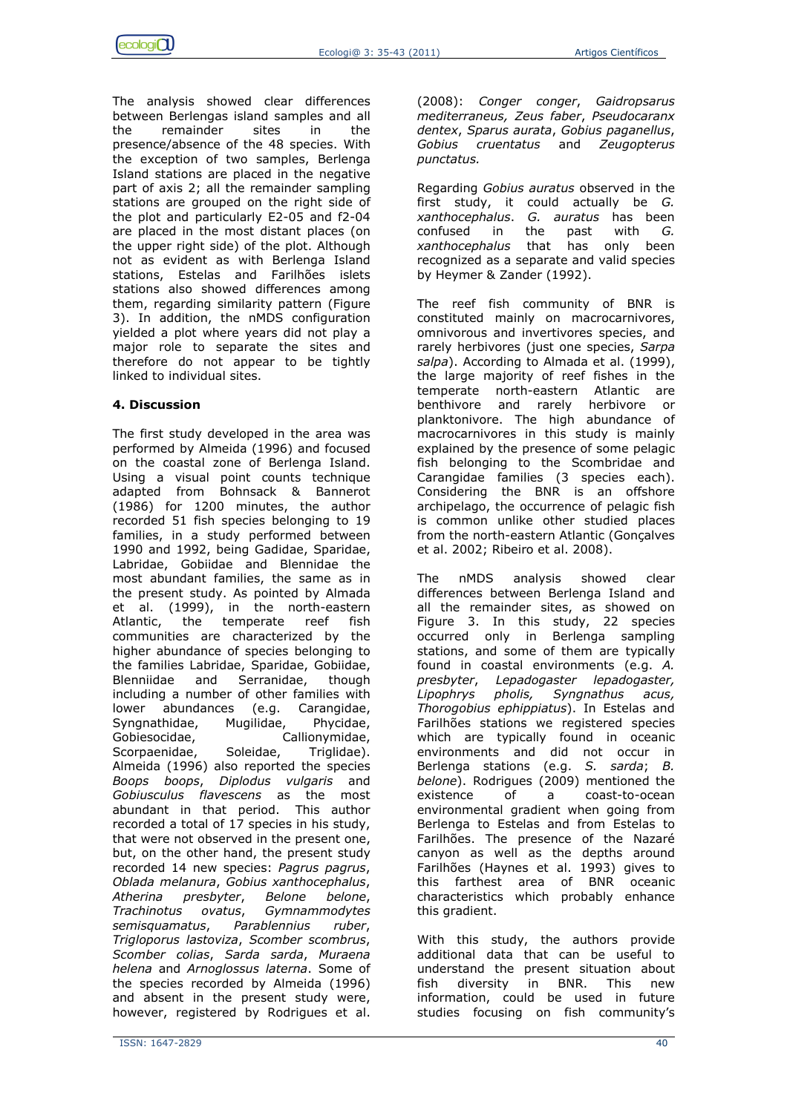The analysis showed clear differences between Berlengas island samples and all the remainder sites in the presence/absence of the 48 species. With the exception of two samples, Berlenga Island stations are placed in the negative part of axis 2; all the remainder sampling stations are grouped on the right side of the plot and particularly E2-05 and f2-04 are placed in the most distant places (on the upper right side) of the plot. Although not as evident as with Berlenga Island stations, Estelas and Farilhões islets stations also showed differences among them, regarding similarity pattern (Figure 3). In addition, the nMDS configuration yielded a plot where years did not play a major role to separate the sites and therefore do not appear to be tightly linked to individual sites.

# **4. Discussion**

The first study developed in the area was performed by Almeida (1996) and focused on the coastal zone of Berlenga Island. Using a visual point counts technique adapted from Bohnsack & Bannerot (1986) for 1200 minutes, the author recorded 51 fish species belonging to 19 families, in a study performed between 1990 and 1992, being Gadidae, Sparidae, Labridae, Gobiidae and Blennidae the most abundant families, the same as in the present study. As pointed by Almada et al. (1999), in the north-eastern Atlantic, the temperate reef fish communities are characterized by the higher abundance of species belonging to the families Labridae, Sparidae, Gobiidae, Blenniidae and Serranidae, though including a number of other families with lower abundances (e.g. Carangidae, Syngnathidae, Mugilidae, Phycidae, Gobiesocidae, Callionymidae, Scorpaenidae, Soleidae, Triglidae). Almeida (1996) also reported the species *Boops boops*, *Diplodus vulgaris* and *Gobiusculus flavescens* as the most abundant in that period. This author recorded a total of 17 species in his study, that were not observed in the present one, but, on the other hand, the present study recorded 14 new species: *Pagrus pagrus*, *Oblada melanura*, *Gobius xanthocephalus*, *Atherina presbyter*, *Belone belone*, *Trachinotus ovatus*, *Gymnammodytes semisquamatus*, *Parablennius ruber*, *Trigloporus lastoviza*, *Scomber scombrus*, *Scomber colias*, *Sarda sarda*, *Muraena helena* and *Arnoglossus laterna*. Some of the species recorded by Almeida (1996) and absent in the present study were, however, registered by Rodrigues et al.

(2008): *Conger conger*, *Gaidropsarus mediterraneus, Zeus faber*, *Pseudocaranx dentex*, *Sparus aurata*, *Gobius paganellus*, *Gobius cruentatus* and *Zeugopterus punctatus.*

Regarding *Gobius auratus* observed in the first study, it could actually be *G. xanthocephalus*. *G. auratus* has been confused in the past with *G. xanthocephalus* that has only been recognized as a separate and valid species by Heymer & Zander (1992).

The reef fish community of BNR is constituted mainly on macrocarnivores, omnivorous and invertivores species, and rarely herbivores (just one species, *Sarpa salpa*). According to Almada et al. (1999), the large majority of reef fishes in the temperate north-eastern Atlantic are benthivore and rarely herbivore or planktonivore. The high abundance of macrocarnivores in this study is mainly explained by the presence of some pelagic fish belonging to the Scombridae and Carangidae families (3 species each). Considering the BNR is an offshore archipelago, the occurrence of pelagic fish is common unlike other studied places from the north-eastern Atlantic (Gonçalves et al. 2002; Ribeiro et al. 2008).

The nMDS analysis showed clear differences between Berlenga Island and all the remainder sites, as showed on Figure 3. In this study, 22 species occurred only in Berlenga sampling stations, and some of them are typically found in coastal environments (e.g. *A. presbyter*, *Lepadogaster lepadogaster, Lipophrys pholis, Syngnathus acus, Thorogobius ephippiatus*). In Estelas and Farilhões stations we registered species which are typically found in oceanic environments and did not occur in Berlenga stations (e.g. *S. sarda*; *B. belone*). Rodrigues (2009) mentioned the existence of a coast-to-ocean environmental gradient when going from Berlenga to Estelas and from Estelas to Farilhões. The presence of the Nazaré canyon as well as the depths around Farilhões (Haynes et al. 1993) gives to this farthest area of BNR oceanic characteristics which probably enhance this gradient.

With this study, the authors provide additional data that can be useful to understand the present situation about fish diversity in BNR. This new information, could be used in future studies focusing on fish community's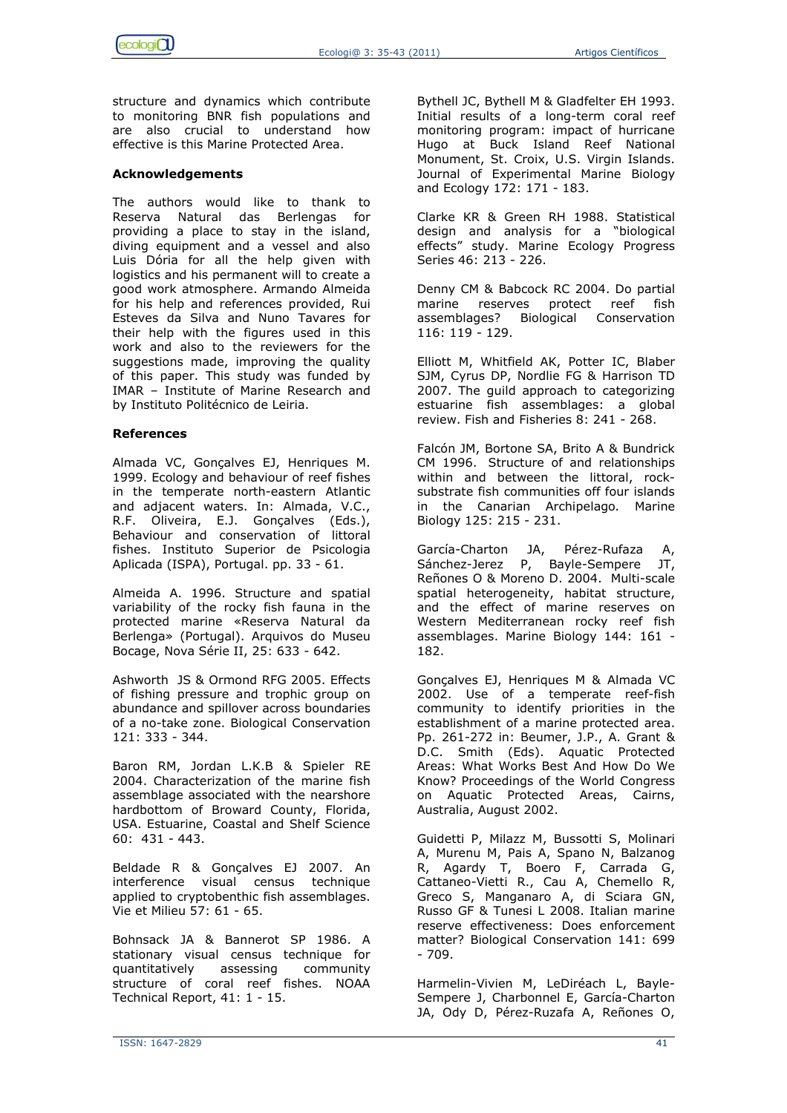

structure and dynamics which contribute to monitoring BNR fish populations and are also crucial to understand how effective is this Marine Protected Area.

## **Acknowledgements**

The authors would like to thank to Reserva Natural das Berlengas for providing a place to stay in the island, diving equipment and a vessel and also Luis Dória for all the help given with logistics and his permanent will to create a good work atmosphere. Armando Almeida for his help and references provided, Rui Esteves da Silva and Nuno Tavares for their help with the figures used in this work and also to the reviewers for the suggestions made, improving the quality of this paper. This study was funded by IMAR – Institute of Marine Research and by Instituto Politécnico de Leiria.

## **References**

Almada VC, Gonçalves EJ, Henriques M. 1999. Ecology and behaviour of reef fishes in the temperate north-eastern Atlantic and adjacent waters. In: Almada, V.C., R.F. Oliveira, E.J. Gonçalves (Eds.), Behaviour and conservation of littoral fishes. Instituto Superior de Psicologia Aplicada (ISPA), Portugal. pp. 33 - 61.

Almeida A. 1996. Structure and spatial variability of the rocky fish fauna in the protected marine «Reserva Natural da Berlenga» (Portugal). Arquivos do Museu Bocage, Nova Série II, 25: 633 - 642.

Ashworth JS & Ormond RFG 2005. Effects of fishing pressure and trophic group on abundance and spillover across boundaries of a no-take zone. Biological Conservation 121: 333 - 344.

Baron RM, Jordan L.K.B & Spieler RE 2004. Characterization of the marine fish assemblage associated with the nearshore hardbottom of Broward County, Florida, USA. Estuarine, Coastal and Shelf Science 60: 431 - 443.

Beldade R & Gonçalves EJ 2007. An interference visual census technique applied to cryptobenthic fish assemblages. Vie et Milieu 57: 61 - 65.

Bohnsack JA & Bannerot SP 1986. A stationary visual census technique for quantitatively assessing community structure of coral reef fishes. NOAA Technical Report, 41: 1 - 15.

Bythell JC, Bythell M & Gladfelter EH 1993. Initial results of a long-term coral reef monitoring program: impact of hurricane Hugo at Buck Island Reef National Monument, St. Croix, U.S. Virgin Islands. Journal of Experimental Marine Biology and Ecology 172: 171 - 183.

Clarke KR & Green RH 1988. Statistical design and analysis for a "biological effects" study. Marine Ecology Progress Series 46: 213 - 226.

Denny CM & Babcock RC 2004. Do partial marine reserves protect reef fish assemblages? Biological Conservation 116: 119 - 129.

Elliott M, Whitfield AK, Potter IC, Blaber SJM, Cyrus DP, Nordlie FG & Harrison TD 2007. The guild approach to categorizing estuarine fish assemblages: a global review. Fish and Fisheries 8: 241 - 268.

Falcón JM, Bortone SA, Brito A & Bundrick CM 1996. Structure of and relationships within and between the littoral, rocksubstrate fish communities off four islands in the Canarian Archipelago*.* Marine Biology 125: 215 - 231.

García-Charton JA, Pérez-Rufaza A, Sánchez-Jerez P, Bayle-Sempere JT, Reñones O & Moreno D. 2004. Multi-scale spatial heterogeneity, habitat structure, and the effect of marine reserves on Western Mediterranean rocky reef fish assemblages. Marine Biology 144: 161 - 182.

Gonçalves EJ, Henriques M & Almada VC 2002. Use of a temperate reef-fish community to identify priorities in the establishment of a marine protected area. Pp. 261-272 in: Beumer, J.P., A. Grant & D.C. Smith (Eds). Aquatic Protected Areas: What Works Best And How Do We Know? Proceedings of the World Congress on Aquatic Protected Areas, Cairns, Australia, August 2002.

Guidetti P, Milazz M, Bussotti S, Molinari A, Murenu M, Pais A, Spano N, Balzanog R, Agardy T, Boero F, Carrada G, Cattaneo-Vietti R., Cau A, Chemello R, Greco S, Manganaro A, di Sciara GN, Russo GF & Tunesi L 2008. Italian marine reserve effectiveness: Does enforcement matter? Biological Conservation 141: 699  $-709.$ 

Harmelin-Vivien M, LeDiréach L, Bayle-Sempere J, Charbonnel E, García-Charton JA, Ody D, Pérez-Ruzafa A, Reñones O,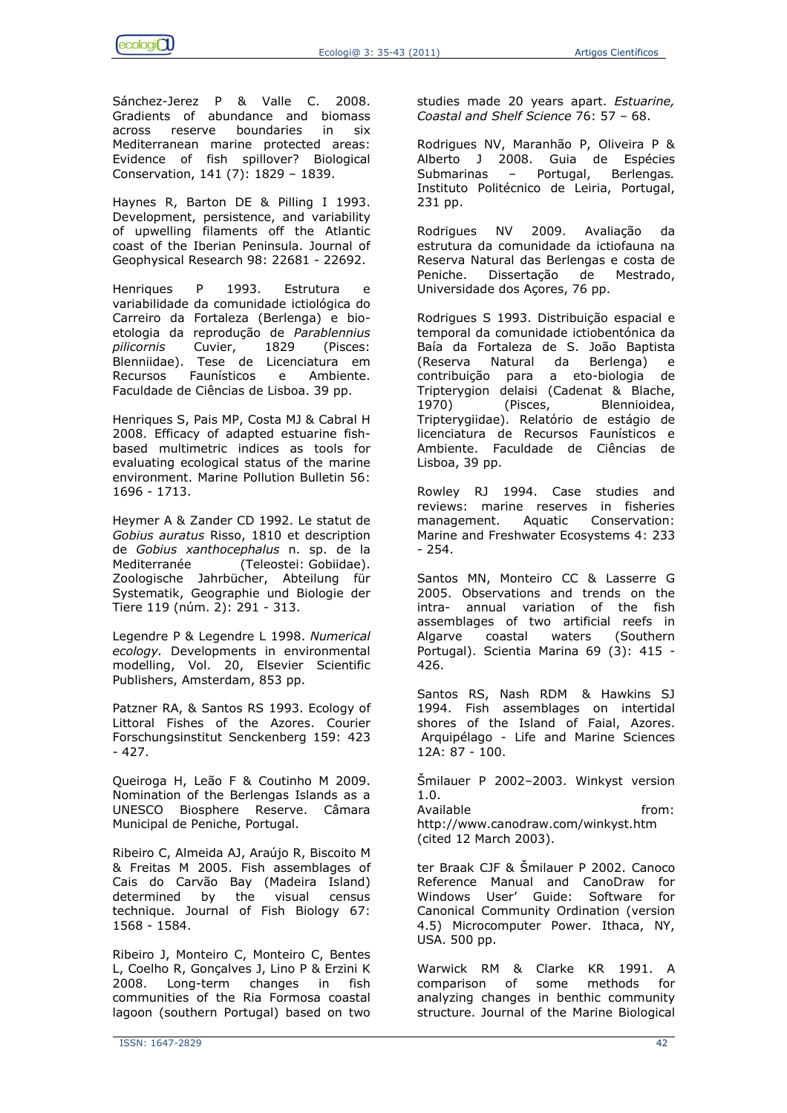Sánchez-Jerez P & Valle C. 2008. Gradients of abundance and biomass across reserve boundaries in six Mediterranean marine protected areas: Evidence of fish spillover? Biological Conservation, 141 (7): 1829 – 1839.

Haynes R, Barton DE & Pilling I 1993. Development, persistence, and variability of upwelling filaments off the Atlantic coast of the Iberian Peninsula. Journal of Geophysical Research 98: 22681 - 22692.

Henriques P 1993. Estrutura e variabilidade da comunidade ictiológica do Carreiro da Fortaleza (Berlenga) e bioetologia da reprodução de *Parablennius pilicornis* Cuvier, 1829 (Pisces: Blenniidae). Tese de Licenciatura em Recursos Faunísticos e Ambiente. Faculdade de Ciências de Lisboa. 39 pp.

Henriques S, Pais MP, Costa MJ & Cabral H 2008. Efficacy of adapted estuarine fishbased multimetric indices as tools for evaluating ecological status of the marine environment. Marine Pollution Bulletin 56: 1696 - 1713.

Heymer A & Zander CD 1992. Le statut de *Gobius auratus* Risso, 1810 et description de *Gobius xanthocephalus* n. sp. de la Mediterranée (Teleostei: Gobiidae). Zoologische Jahrbücher, Abteilung für Systematik, Geographie und Biologie der Tiere 119 (núm. 2): 291 - 313.

Legendre P & Legendre L 1998. *Numerical ecology.* Developments in environmental modelling, Vol. 20, Elsevier Scientific Publishers, Amsterdam, 853 pp.

Patzner RA, & Santos RS 1993. Ecology of Littoral Fishes of the Azores. Courier Forschungsinstitut Senckenberg 159: 423 - 427.

Queiroga H, Leão F & Coutinho M 2009. Nomination of the Berlengas Islands as a UNESCO Biosphere Reserve. Câmara Municipal de Peniche, Portugal.

Ribeiro C, Almeida AJ, Araújo R, Biscoito M & Freitas M 2005. Fish assemblages of Cais do Carvão Bay (Madeira Island) determined by the visual census technique. Journal of Fish Biology 67: 1568 - 1584.

Ribeiro J, Monteiro C, Monteiro C, Bentes L, Coelho R, Gonçalves J, Lino P & Erzini K 2008. Long-term changes in fish communities of the Ria Formosa coastal lagoon (southern Portugal) based on two

studies made 20 years apart. *Estuarine, Coastal and Shelf Science* 76: 57 – 68.

Rodrigues NV, Maranhão P, Oliveira P & Alberto J 2008. Guia de Espécies Submarinas – Portugal, Berlengas*.*  Instituto Politécnico de Leiria, Portugal, 231 pp.

Rodrigues NV 2009. Avaliação da estrutura da comunidade da ictiofauna na Reserva Natural das Berlengas e costa de Peniche. Dissertação de Mestrado, Universidade dos Açores, 76 pp.

Rodrigues S 1993. Distribuição espacial e temporal da comunidade ictiobentónica da Baía da Fortaleza de S. João Baptista (Reserva Natural da Berlenga) e contribuição para a eto-biologia de Tripterygion delaisi (Cadenat & Blache, 1970) (Pisces, Blennioidea, Tripterygiidae). Relatório de estágio de licenciatura de Recursos Faunísticos e Ambiente. Faculdade de Ciências de Lisboa, 39 pp.

Rowley RJ 1994. Case studies and reviews: marine reserves in fisheries management. Aquatic Conservation: Marine and Freshwater Ecosystems 4: 233 - 254.

Santos MN, Monteiro CC & Lasserre G 2005. Observations and trends on the intra- annual variation of the fish assemblages of two artificial reefs in Algarve coastal waters (Southern Portugal). Scientia Marina 69 (3): 415 - 426.

Santos RS, Nash RDM & Hawkins SJ 1994. Fish assemblages on intertidal shores of the Island of Faial, Azores. Arquipélago - Life and Marine Sciences 12A: 87 - 100.

Šmilauer P 2002–2003. Winkyst version 1.0.

Available **from:** http://www.canodraw.com/winkyst.htm (cited 12 March 2003).

ter Braak CJF & Šmilauer P 2002. Canoco Reference Manual and CanoDraw for Windows User' Guide: Software for Canonical Community Ordination (version 4.5) Microcomputer Power. Ithaca, NY, USA. 500 pp.

Warwick RM & Clarke KR 1991. A comparison of some methods for analyzing changes in benthic community structure. Journal of the Marine Biological